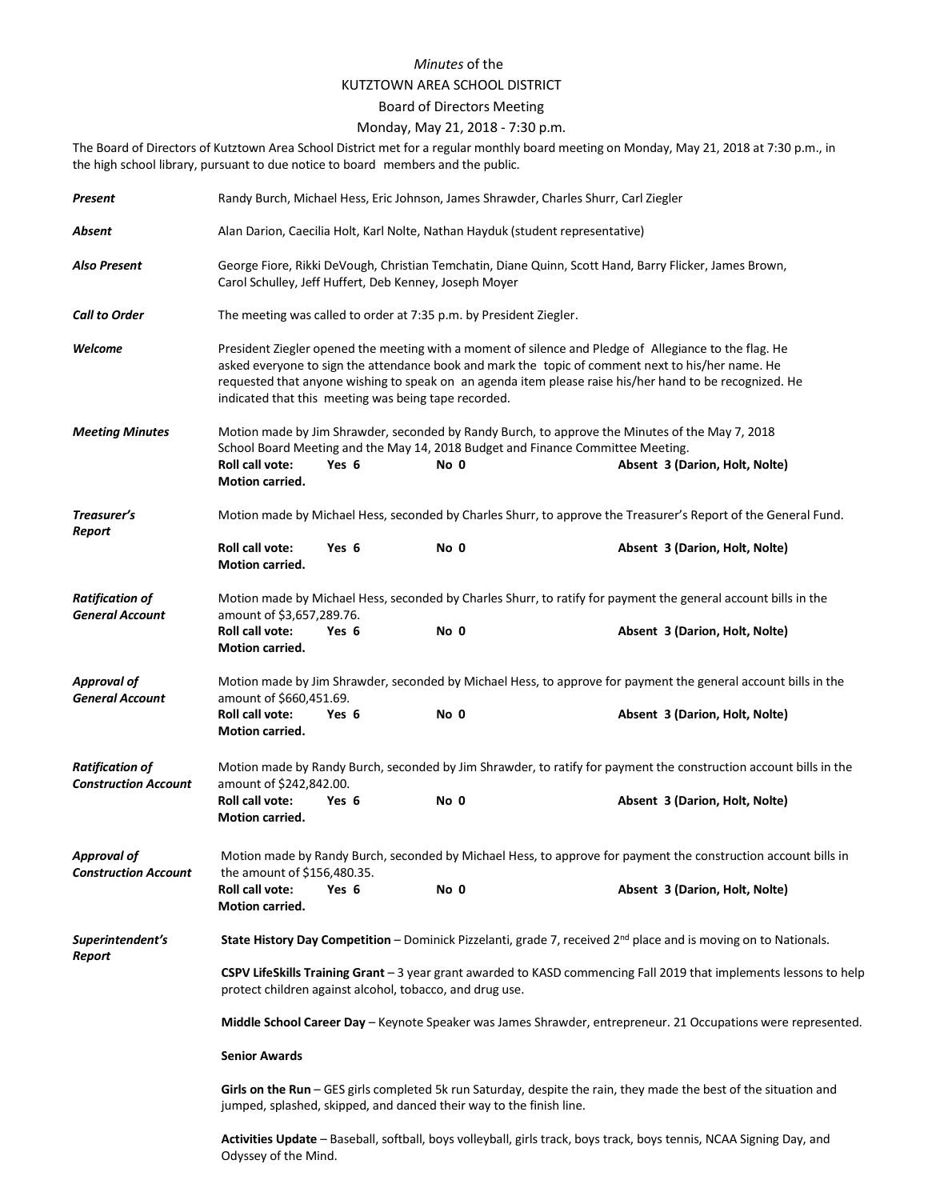## *Minutes* of the KUTZTOWN AREA SCHOOL DISTRICT

## Board of Directors Meeting

## Monday, May 21, 2018 - 7:30 p.m.

The Board of Directors of Kutztown Area School District met for a regular monthly board meeting on Monday, May 21, 2018 at 7:30 p.m., in the high school library, pursuant to due notice to board members and the public.

| Present                                               | Randy Burch, Michael Hess, Eric Johnson, James Shrawder, Charles Shurr, Carl Ziegler                                                                                                                                                                                                                                                                                           |       |      |                                |  |  |  |  |
|-------------------------------------------------------|--------------------------------------------------------------------------------------------------------------------------------------------------------------------------------------------------------------------------------------------------------------------------------------------------------------------------------------------------------------------------------|-------|------|--------------------------------|--|--|--|--|
| Absent                                                | Alan Darion, Caecilia Holt, Karl Nolte, Nathan Hayduk (student representative)                                                                                                                                                                                                                                                                                                 |       |      |                                |  |  |  |  |
| <b>Also Present</b>                                   | George Fiore, Rikki DeVough, Christian Temchatin, Diane Quinn, Scott Hand, Barry Flicker, James Brown,<br>Carol Schulley, Jeff Huffert, Deb Kenney, Joseph Moyer                                                                                                                                                                                                               |       |      |                                |  |  |  |  |
| <b>Call to Order</b>                                  | The meeting was called to order at 7:35 p.m. by President Ziegler.                                                                                                                                                                                                                                                                                                             |       |      |                                |  |  |  |  |
| Welcome                                               | President Ziegler opened the meeting with a moment of silence and Pledge of Allegiance to the flag. He<br>asked everyone to sign the attendance book and mark the topic of comment next to his/her name. He<br>requested that anyone wishing to speak on an agenda item please raise his/her hand to be recognized. He<br>indicated that this meeting was being tape recorded. |       |      |                                |  |  |  |  |
| <b>Meeting Minutes</b>                                | Motion made by Jim Shrawder, seconded by Randy Burch, to approve the Minutes of the May 7, 2018<br>School Board Meeting and the May 14, 2018 Budget and Finance Committee Meeting.<br><b>Roll call vote:</b><br>Yes 6<br>Absent 3 (Darion, Holt, Nolte)<br>No 0<br><b>Motion carried.</b>                                                                                      |       |      |                                |  |  |  |  |
| Treasurer's<br>Report                                 | Motion made by Michael Hess, seconded by Charles Shurr, to approve the Treasurer's Report of the General Fund.                                                                                                                                                                                                                                                                 |       |      |                                |  |  |  |  |
|                                                       | <b>Roll call vote:</b><br>Motion carried.                                                                                                                                                                                                                                                                                                                                      | Yes 6 | No 0 | Absent 3 (Darion, Holt, Nolte) |  |  |  |  |
| <b>Ratification of</b><br><b>General Account</b>      | Motion made by Michael Hess, seconded by Charles Shurr, to ratify for payment the general account bills in the<br>amount of \$3,657,289.76.                                                                                                                                                                                                                                    |       |      |                                |  |  |  |  |
|                                                       | Roll call vote:<br>Motion carried.                                                                                                                                                                                                                                                                                                                                             | Yes 6 | No 0 | Absent 3 (Darion, Holt, Nolte) |  |  |  |  |
| <b>Approval of</b><br><b>General Account</b>          | Motion made by Jim Shrawder, seconded by Michael Hess, to approve for payment the general account bills in the<br>amount of \$660,451.69.                                                                                                                                                                                                                                      |       |      |                                |  |  |  |  |
|                                                       | <b>Roll call vote:</b><br>Motion carried.                                                                                                                                                                                                                                                                                                                                      | Yes 6 | No 0 | Absent 3 (Darion, Holt, Nolte) |  |  |  |  |
| <b>Ratification of</b><br><b>Construction Account</b> | Motion made by Randy Burch, seconded by Jim Shrawder, to ratify for payment the construction account bills in the<br>amount of \$242,842.00.                                                                                                                                                                                                                                   |       |      |                                |  |  |  |  |
|                                                       | Roll call vote:<br><b>Motion carried.</b>                                                                                                                                                                                                                                                                                                                                      | Yes 6 | No 0 | Absent 3 (Darion, Holt, Nolte) |  |  |  |  |
| Approval of<br><b>Construction Account</b>            | Motion made by Randy Burch, seconded by Michael Hess, to approve for payment the construction account bills in<br>the amount of \$156,480.35.                                                                                                                                                                                                                                  |       |      |                                |  |  |  |  |
|                                                       | Roll call vote:<br><b>Motion carried.</b>                                                                                                                                                                                                                                                                                                                                      | Yes 6 | No 0 | Absent 3 (Darion, Holt, Nolte) |  |  |  |  |
| Superintendent's<br>Report                            | State History Day Competition – Dominick Pizzelanti, grade 7, received $2^{nd}$ place and is moving on to Nationals.                                                                                                                                                                                                                                                           |       |      |                                |  |  |  |  |
|                                                       | CSPV LifeSkills Training Grant - 3 year grant awarded to KASD commencing Fall 2019 that implements lessons to help<br>protect children against alcohol, tobacco, and drug use.                                                                                                                                                                                                 |       |      |                                |  |  |  |  |
|                                                       | Middle School Career Day - Keynote Speaker was James Shrawder, entrepreneur. 21 Occupations were represented.                                                                                                                                                                                                                                                                  |       |      |                                |  |  |  |  |
|                                                       | <b>Senior Awards</b>                                                                                                                                                                                                                                                                                                                                                           |       |      |                                |  |  |  |  |
|                                                       | Girls on the Run - GES girls completed 5k run Saturday, despite the rain, they made the best of the situation and<br>jumped, splashed, skipped, and danced their way to the finish line.                                                                                                                                                                                       |       |      |                                |  |  |  |  |
|                                                       | Activities Update - Baseball, softball, boys volleyball, girls track, boys track, boys tennis, NCAA Signing Day, and<br>Odyssey of the Mind.                                                                                                                                                                                                                                   |       |      |                                |  |  |  |  |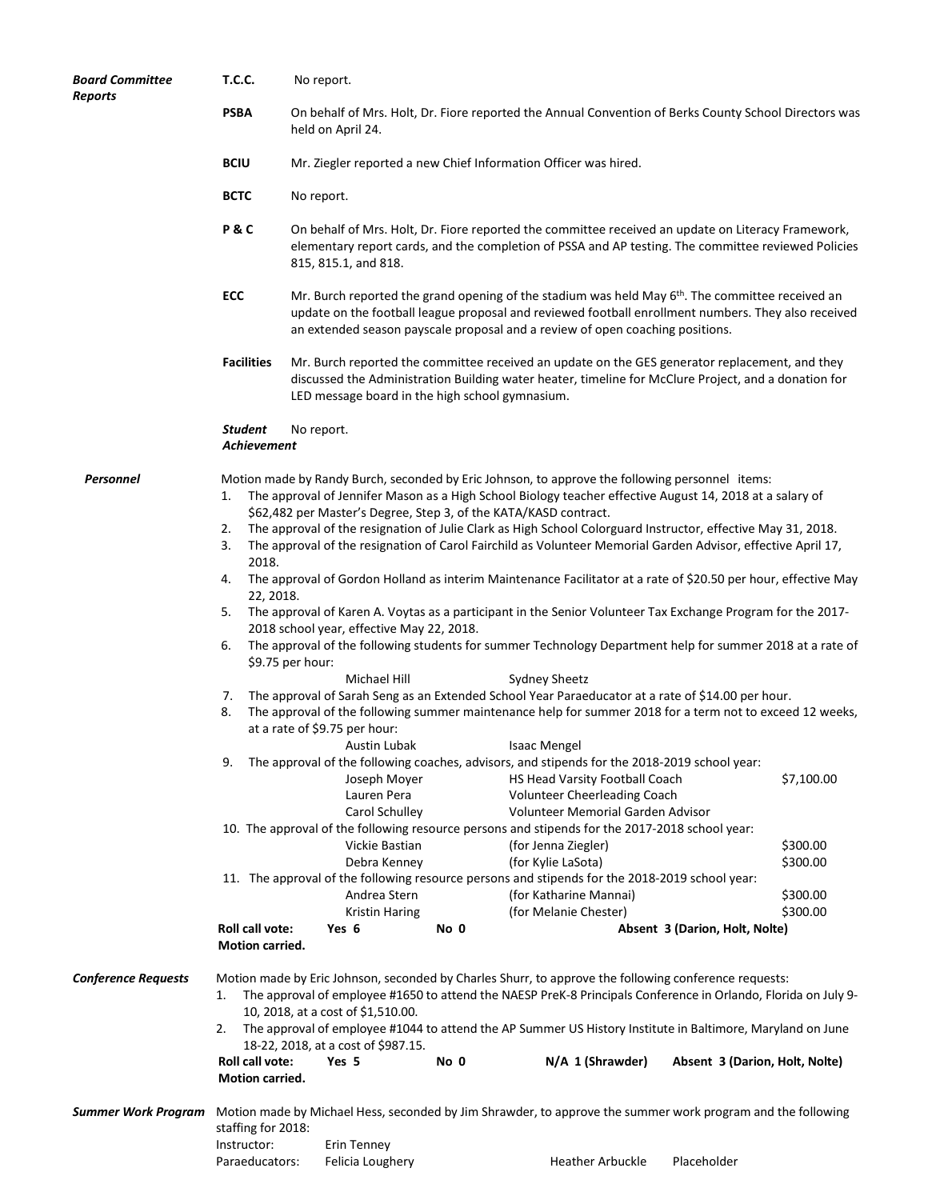| <b>Board Committee</b><br><b>Reports</b>                                                                                                               | <b>T.C.C.</b>                                                                                                                                                                                                                                                       | No report.                                                                                                                                                                                                                                                                                                                                                                                                                                                                                                                      |                                                                                                                                                                                                                                                                                                                                                                                                                                                                                                                                                                                                                                                                                                                                                                                                                                                                                                                                                                                                                                                                                                                                                                                                                                                                                                                                                                                                                                                                                                                                                                                                                                                                                                                                                                                                                                                                                                                                                           |                                                                                                            |                                |  |  |  |
|--------------------------------------------------------------------------------------------------------------------------------------------------------|---------------------------------------------------------------------------------------------------------------------------------------------------------------------------------------------------------------------------------------------------------------------|---------------------------------------------------------------------------------------------------------------------------------------------------------------------------------------------------------------------------------------------------------------------------------------------------------------------------------------------------------------------------------------------------------------------------------------------------------------------------------------------------------------------------------|-----------------------------------------------------------------------------------------------------------------------------------------------------------------------------------------------------------------------------------------------------------------------------------------------------------------------------------------------------------------------------------------------------------------------------------------------------------------------------------------------------------------------------------------------------------------------------------------------------------------------------------------------------------------------------------------------------------------------------------------------------------------------------------------------------------------------------------------------------------------------------------------------------------------------------------------------------------------------------------------------------------------------------------------------------------------------------------------------------------------------------------------------------------------------------------------------------------------------------------------------------------------------------------------------------------------------------------------------------------------------------------------------------------------------------------------------------------------------------------------------------------------------------------------------------------------------------------------------------------------------------------------------------------------------------------------------------------------------------------------------------------------------------------------------------------------------------------------------------------------------------------------------------------------------------------------------------------|------------------------------------------------------------------------------------------------------------|--------------------------------|--|--|--|
|                                                                                                                                                        | <b>PSBA</b>                                                                                                                                                                                                                                                         | On behalf of Mrs. Holt, Dr. Fiore reported the Annual Convention of Berks County School Directors was<br>held on April 24.                                                                                                                                                                                                                                                                                                                                                                                                      |                                                                                                                                                                                                                                                                                                                                                                                                                                                                                                                                                                                                                                                                                                                                                                                                                                                                                                                                                                                                                                                                                                                                                                                                                                                                                                                                                                                                                                                                                                                                                                                                                                                                                                                                                                                                                                                                                                                                                           |                                                                                                            |                                |  |  |  |
|                                                                                                                                                        | <b>BCIU</b>                                                                                                                                                                                                                                                         | Mr. Ziegler reported a new Chief Information Officer was hired.                                                                                                                                                                                                                                                                                                                                                                                                                                                                 |                                                                                                                                                                                                                                                                                                                                                                                                                                                                                                                                                                                                                                                                                                                                                                                                                                                                                                                                                                                                                                                                                                                                                                                                                                                                                                                                                                                                                                                                                                                                                                                                                                                                                                                                                                                                                                                                                                                                                           |                                                                                                            |                                |  |  |  |
|                                                                                                                                                        | <b>BCTC</b>                                                                                                                                                                                                                                                         | No report.                                                                                                                                                                                                                                                                                                                                                                                                                                                                                                                      |                                                                                                                                                                                                                                                                                                                                                                                                                                                                                                                                                                                                                                                                                                                                                                                                                                                                                                                                                                                                                                                                                                                                                                                                                                                                                                                                                                                                                                                                                                                                                                                                                                                                                                                                                                                                                                                                                                                                                           |                                                                                                            |                                |  |  |  |
|                                                                                                                                                        | P&C                                                                                                                                                                                                                                                                 | On behalf of Mrs. Holt, Dr. Fiore reported the committee received an update on Literacy Framework,<br>elementary report cards, and the completion of PSSA and AP testing. The committee reviewed Policies<br>815, 815.1, and 818.<br>Mr. Burch reported the grand opening of the stadium was held May $6th$ . The committee received an<br>update on the football league proposal and reviewed football enrollment numbers. They also received<br>an extended season payscale proposal and a review of open coaching positions. |                                                                                                                                                                                                                                                                                                                                                                                                                                                                                                                                                                                                                                                                                                                                                                                                                                                                                                                                                                                                                                                                                                                                                                                                                                                                                                                                                                                                                                                                                                                                                                                                                                                                                                                                                                                                                                                                                                                                                           |                                                                                                            |                                |  |  |  |
|                                                                                                                                                        | ECC                                                                                                                                                                                                                                                                 |                                                                                                                                                                                                                                                                                                                                                                                                                                                                                                                                 |                                                                                                                                                                                                                                                                                                                                                                                                                                                                                                                                                                                                                                                                                                                                                                                                                                                                                                                                                                                                                                                                                                                                                                                                                                                                                                                                                                                                                                                                                                                                                                                                                                                                                                                                                                                                                                                                                                                                                           |                                                                                                            |                                |  |  |  |
|                                                                                                                                                        | <b>Facilities</b>                                                                                                                                                                                                                                                   | Mr. Burch reported the committee received an update on the GES generator replacement, and they<br>discussed the Administration Building water heater, timeline for McClure Project, and a donation for<br>LED message board in the high school gymnasium.                                                                                                                                                                                                                                                                       |                                                                                                                                                                                                                                                                                                                                                                                                                                                                                                                                                                                                                                                                                                                                                                                                                                                                                                                                                                                                                                                                                                                                                                                                                                                                                                                                                                                                                                                                                                                                                                                                                                                                                                                                                                                                                                                                                                                                                           |                                                                                                            |                                |  |  |  |
|                                                                                                                                                        | Student<br>No report.<br>Achievement                                                                                                                                                                                                                                |                                                                                                                                                                                                                                                                                                                                                                                                                                                                                                                                 |                                                                                                                                                                                                                                                                                                                                                                                                                                                                                                                                                                                                                                                                                                                                                                                                                                                                                                                                                                                                                                                                                                                                                                                                                                                                                                                                                                                                                                                                                                                                                                                                                                                                                                                                                                                                                                                                                                                                                           |                                                                                                            |                                |  |  |  |
| Personnel<br>1.<br>2.<br>3.<br>2018.<br>4.<br>22, 2018.<br>5.<br>6.<br>\$9.75 per hour:<br>7.<br>8.<br>9.<br>Roll call vote:<br><b>Motion carried.</b> |                                                                                                                                                                                                                                                                     | at a rate of \$9.75 per hour:<br>Yes 6                                                                                                                                                                                                                                                                                                                                                                                                                                                                                          | Motion made by Randy Burch, seconded by Eric Johnson, to approve the following personnel items:<br>The approval of Jennifer Mason as a High School Biology teacher effective August 14, 2018 at a salary of<br>\$62,482 per Master's Degree, Step 3, of the KATA/KASD contract.<br>The approval of the resignation of Julie Clark as High School Colorguard Instructor, effective May 31, 2018.<br>The approval of the resignation of Carol Fairchild as Volunteer Memorial Garden Advisor, effective April 17,<br>The approval of Gordon Holland as interim Maintenance Facilitator at a rate of \$20.50 per hour, effective May<br>The approval of Karen A. Voytas as a participant in the Senior Volunteer Tax Exchange Program for the 2017-<br>2018 school year, effective May 22, 2018.<br>The approval of the following students for summer Technology Department help for summer 2018 at a rate of<br>Michael Hill<br><b>Sydney Sheetz</b><br>The approval of Sarah Seng as an Extended School Year Paraeducator at a rate of \$14.00 per hour.<br>The approval of the following summer maintenance help for summer 2018 for a term not to exceed 12 weeks,<br><b>Isaac Mengel</b><br>Austin Lubak<br>The approval of the following coaches, advisors, and stipends for the 2018-2019 school year:<br>\$7,100.00<br>HS Head Varsity Football Coach<br>Joseph Moyer<br>Lauren Pera<br>Volunteer Cheerleading Coach<br>Carol Schulley<br>Volunteer Memorial Garden Advisor<br>10. The approval of the following resource persons and stipends for the 2017-2018 school year:<br>\$300.00<br>Vickie Bastian<br>(for Jenna Ziegler)<br>Debra Kenney<br>(for Kylie LaSota)<br>\$300.00<br>11. The approval of the following resource persons and stipends for the 2018-2019 school year:<br>Andrea Stern<br>(for Katharine Mannai)<br>\$300.00<br>\$300.00<br>(for Melanie Chester)<br><b>Kristin Haring</b><br>Absent 3 (Darion, Holt, Nolte)<br>No 0 |                                                                                                            |                                |  |  |  |
| <b>Conference Requests</b>                                                                                                                             | Motion made by Eric Johnson, seconded by Charles Shurr, to approve the following conference requests:<br>The approval of employee #1650 to attend the NAESP PreK-8 Principals Conference in Orlando, Florida on July 9-<br>1.<br>10, 2018, at a cost of \$1,510.00. |                                                                                                                                                                                                                                                                                                                                                                                                                                                                                                                                 |                                                                                                                                                                                                                                                                                                                                                                                                                                                                                                                                                                                                                                                                                                                                                                                                                                                                                                                                                                                                                                                                                                                                                                                                                                                                                                                                                                                                                                                                                                                                                                                                                                                                                                                                                                                                                                                                                                                                                           |                                                                                                            |                                |  |  |  |
|                                                                                                                                                        | 2.                                                                                                                                                                                                                                                                  | 18-22, 2018, at a cost of \$987.15.                                                                                                                                                                                                                                                                                                                                                                                                                                                                                             |                                                                                                                                                                                                                                                                                                                                                                                                                                                                                                                                                                                                                                                                                                                                                                                                                                                                                                                                                                                                                                                                                                                                                                                                                                                                                                                                                                                                                                                                                                                                                                                                                                                                                                                                                                                                                                                                                                                                                           | The approval of employee #1044 to attend the AP Summer US History Institute in Baltimore, Maryland on June |                                |  |  |  |
|                                                                                                                                                        | <b>Roll call vote:</b><br>Motion carried.                                                                                                                                                                                                                           | Yes 5                                                                                                                                                                                                                                                                                                                                                                                                                                                                                                                           | No 0                                                                                                                                                                                                                                                                                                                                                                                                                                                                                                                                                                                                                                                                                                                                                                                                                                                                                                                                                                                                                                                                                                                                                                                                                                                                                                                                                                                                                                                                                                                                                                                                                                                                                                                                                                                                                                                                                                                                                      | N/A 1 (Shrawder)                                                                                           | Absent 3 (Darion, Holt, Nolte) |  |  |  |
| <b>Summer Work Program</b>                                                                                                                             | Motion made by Michael Hess, seconded by Jim Shrawder, to approve the summer work program and the following<br>staffing for 2018:                                                                                                                                   |                                                                                                                                                                                                                                                                                                                                                                                                                                                                                                                                 |                                                                                                                                                                                                                                                                                                                                                                                                                                                                                                                                                                                                                                                                                                                                                                                                                                                                                                                                                                                                                                                                                                                                                                                                                                                                                                                                                                                                                                                                                                                                                                                                                                                                                                                                                                                                                                                                                                                                                           |                                                                                                            |                                |  |  |  |
|                                                                                                                                                        | Instructor:<br>Paraeducators:                                                                                                                                                                                                                                       | Erin Tenney<br>Felicia Loughery                                                                                                                                                                                                                                                                                                                                                                                                                                                                                                 |                                                                                                                                                                                                                                                                                                                                                                                                                                                                                                                                                                                                                                                                                                                                                                                                                                                                                                                                                                                                                                                                                                                                                                                                                                                                                                                                                                                                                                                                                                                                                                                                                                                                                                                                                                                                                                                                                                                                                           | <b>Heather Arbuckle</b>                                                                                    | Placeholder                    |  |  |  |